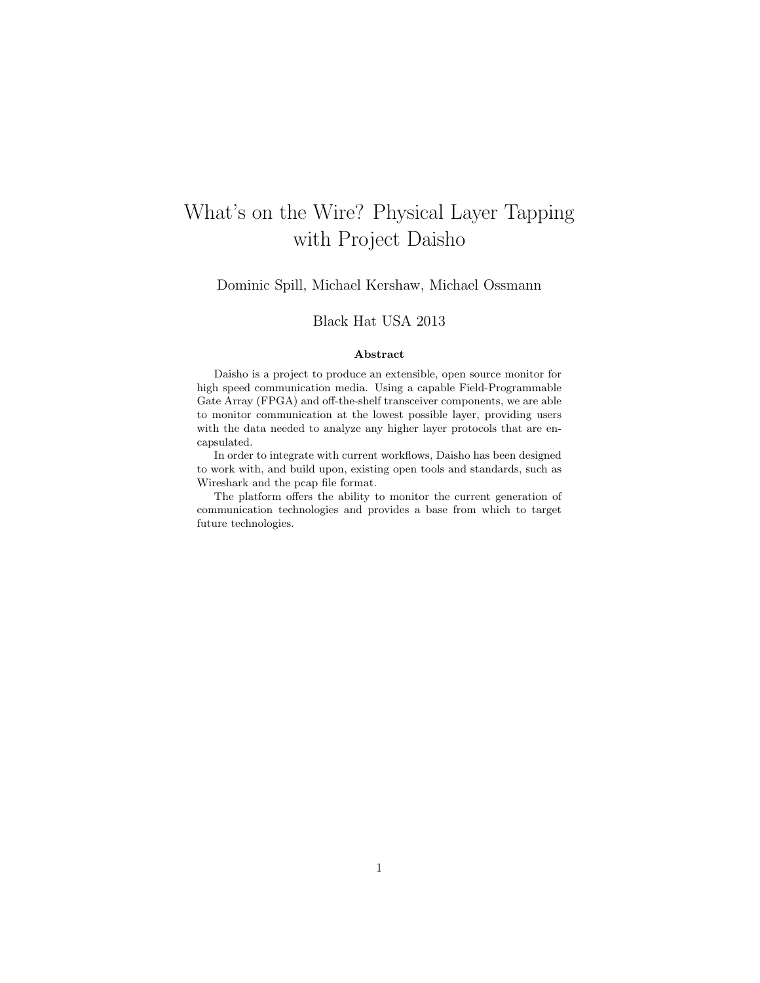# What's on the Wire? Physical Layer Tapping with Project Daisho

Dominic Spill, Michael Kershaw, Michael Ossmann

### Black Hat USA 2013

#### Abstract

Daisho is a project to produce an extensible, open source monitor for high speed communication media. Using a capable Field-Programmable Gate Array (FPGA) and off-the-shelf transceiver components, we are able to monitor communication at the lowest possible layer, providing users with the data needed to analyze any higher layer protocols that are encapsulated.

In order to integrate with current workflows, Daisho has been designed to work with, and build upon, existing open tools and standards, such as Wireshark and the pcap file format.

The platform offers the ability to monitor the current generation of communication technologies and provides a base from which to target future technologies.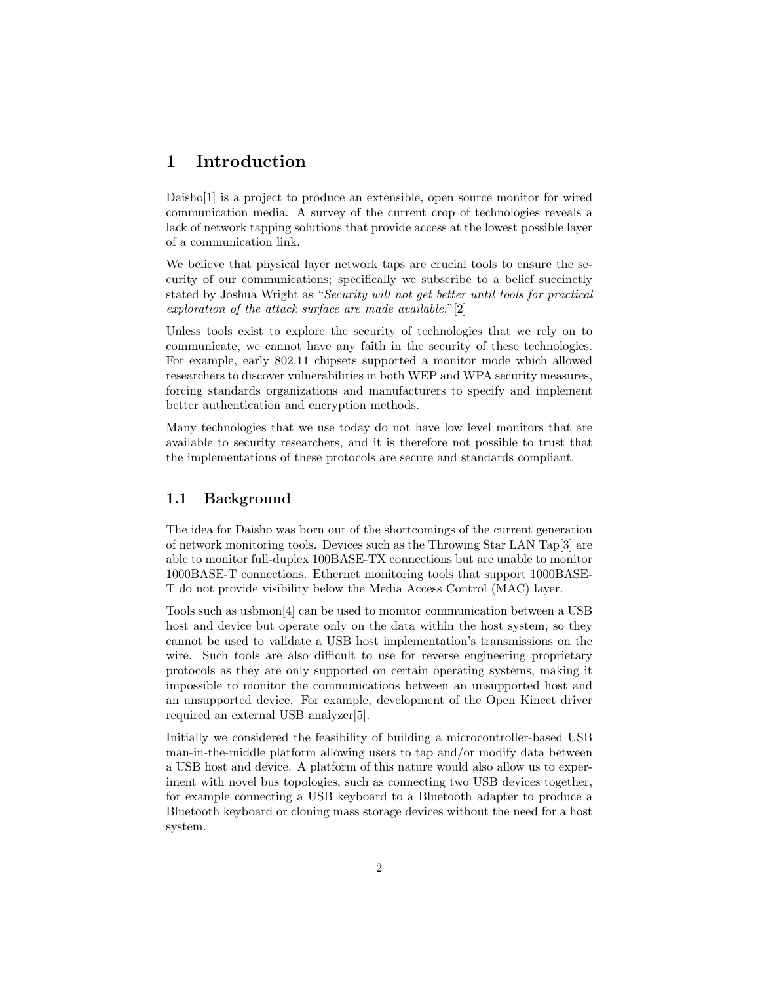# 1 Introduction

Daisho<sup>[1]</sup> is a project to produce an extensible, open source monitor for wired communication media. A survey of the current crop of technologies reveals a lack of network tapping solutions that provide access at the lowest possible layer of a communication link.

We believe that physical layer network taps are crucial tools to ensure the security of our communications; specifically we subscribe to a belief succinctly stated by Joshua Wright as "Security will not get better until tools for practical exploration of the attack surface are made available."[2]

Unless tools exist to explore the security of technologies that we rely on to communicate, we cannot have any faith in the security of these technologies. For example, early 802.11 chipsets supported a monitor mode which allowed researchers to discover vulnerabilities in both WEP and WPA security measures, forcing standards organizations and manufacturers to specify and implement better authentication and encryption methods.

Many technologies that we use today do not have low level monitors that are available to security researchers, and it is therefore not possible to trust that the implementations of these protocols are secure and standards compliant.

### 1.1 Background

The idea for Daisho was born out of the shortcomings of the current generation of network monitoring tools. Devices such as the Throwing Star LAN Tap[3] are able to monitor full-duplex 100BASE-TX connections but are unable to monitor 1000BASE-T connections. Ethernet monitoring tools that support 1000BASE-T do not provide visibility below the Media Access Control (MAC) layer.

Tools such as usbmon[4] can be used to monitor communication between a USB host and device but operate only on the data within the host system, so they cannot be used to validate a USB host implementation's transmissions on the wire. Such tools are also difficult to use for reverse engineering proprietary protocols as they are only supported on certain operating systems, making it impossible to monitor the communications between an unsupported host and an unsupported device. For example, development of the Open Kinect driver required an external USB analyzer[5].

Initially we considered the feasibility of building a microcontroller-based USB man-in-the-middle platform allowing users to tap and/or modify data between a USB host and device. A platform of this nature would also allow us to experiment with novel bus topologies, such as connecting two USB devices together, for example connecting a USB keyboard to a Bluetooth adapter to produce a Bluetooth keyboard or cloning mass storage devices without the need for a host system.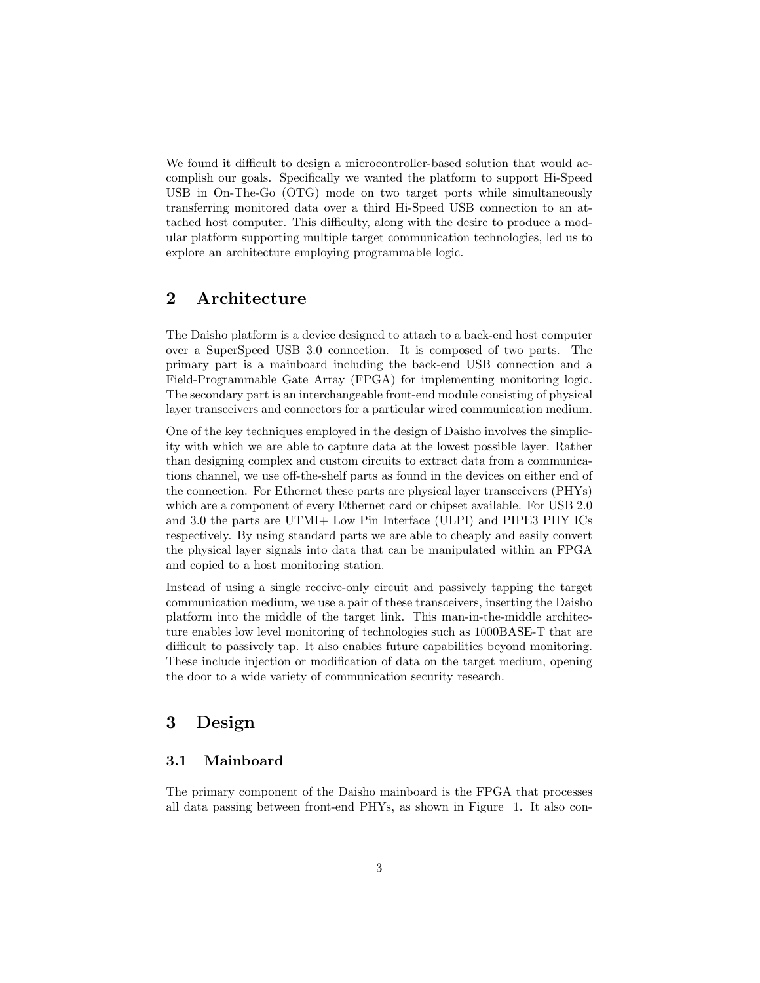We found it difficult to design a microcontroller-based solution that would accomplish our goals. Specifically we wanted the platform to support Hi-Speed USB in On-The-Go (OTG) mode on two target ports while simultaneously transferring monitored data over a third Hi-Speed USB connection to an attached host computer. This difficulty, along with the desire to produce a modular platform supporting multiple target communication technologies, led us to explore an architecture employing programmable logic.

# 2 Architecture

The Daisho platform is a device designed to attach to a back-end host computer over a SuperSpeed USB 3.0 connection. It is composed of two parts. The primary part is a mainboard including the back-end USB connection and a Field-Programmable Gate Array (FPGA) for implementing monitoring logic. The secondary part is an interchangeable front-end module consisting of physical layer transceivers and connectors for a particular wired communication medium.

One of the key techniques employed in the design of Daisho involves the simplicity with which we are able to capture data at the lowest possible layer. Rather than designing complex and custom circuits to extract data from a communications channel, we use off-the-shelf parts as found in the devices on either end of the connection. For Ethernet these parts are physical layer transceivers (PHYs) which are a component of every Ethernet card or chipset available. For USB 2.0 and 3.0 the parts are UTMI+ Low Pin Interface (ULPI) and PIPE3 PHY ICs respectively. By using standard parts we are able to cheaply and easily convert the physical layer signals into data that can be manipulated within an FPGA and copied to a host monitoring station.

Instead of using a single receive-only circuit and passively tapping the target communication medium, we use a pair of these transceivers, inserting the Daisho platform into the middle of the target link. This man-in-the-middle architecture enables low level monitoring of technologies such as 1000BASE-T that are difficult to passively tap. It also enables future capabilities beyond monitoring. These include injection or modification of data on the target medium, opening the door to a wide variety of communication security research.

# 3 Design

### 3.1 Mainboard

The primary component of the Daisho mainboard is the FPGA that processes all data passing between front-end PHYs, as shown in Figure 1. It also con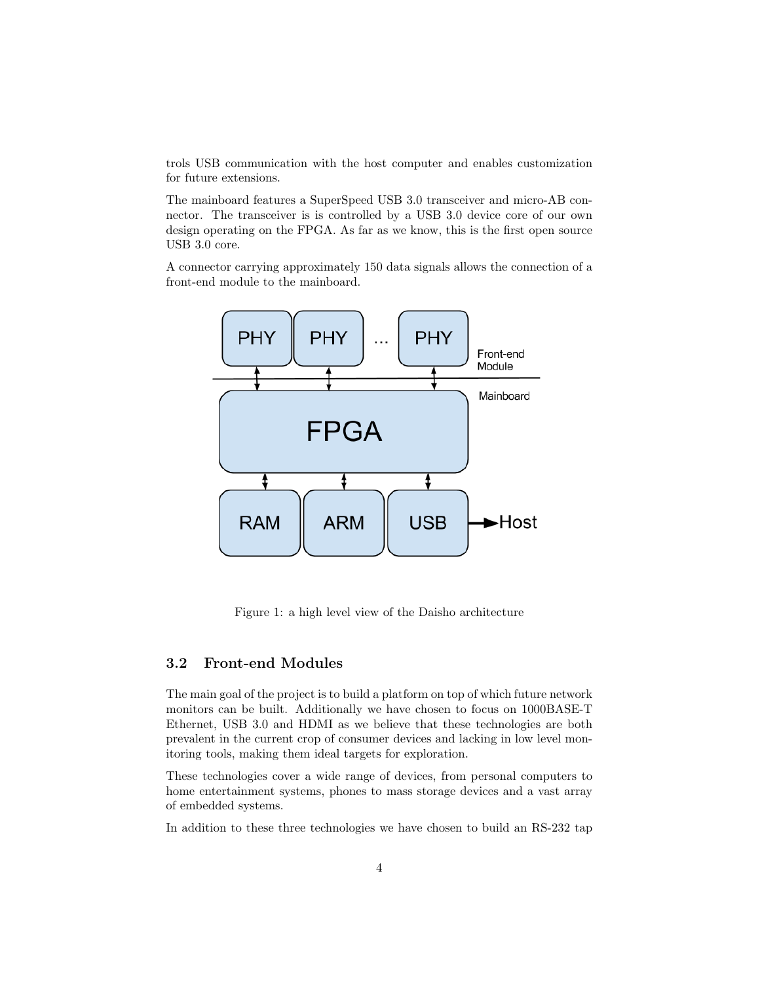trols USB communication with the host computer and enables customization for future extensions.

The mainboard features a SuperSpeed USB 3.0 transceiver and micro-AB connector. The transceiver is is controlled by a USB 3.0 device core of our own design operating on the FPGA. As far as we know, this is the first open source USB 3.0 core.

A connector carrying approximately 150 data signals allows the connection of a front-end module to the mainboard.



Figure 1: a high level view of the Daisho architecture

### 3.2 Front-end Modules

The main goal of the project is to build a platform on top of which future network monitors can be built. Additionally we have chosen to focus on 1000BASE-T Ethernet, USB 3.0 and HDMI as we believe that these technologies are both prevalent in the current crop of consumer devices and lacking in low level monitoring tools, making them ideal targets for exploration.

These technologies cover a wide range of devices, from personal computers to home entertainment systems, phones to mass storage devices and a vast array of embedded systems.

In addition to these three technologies we have chosen to build an RS-232 tap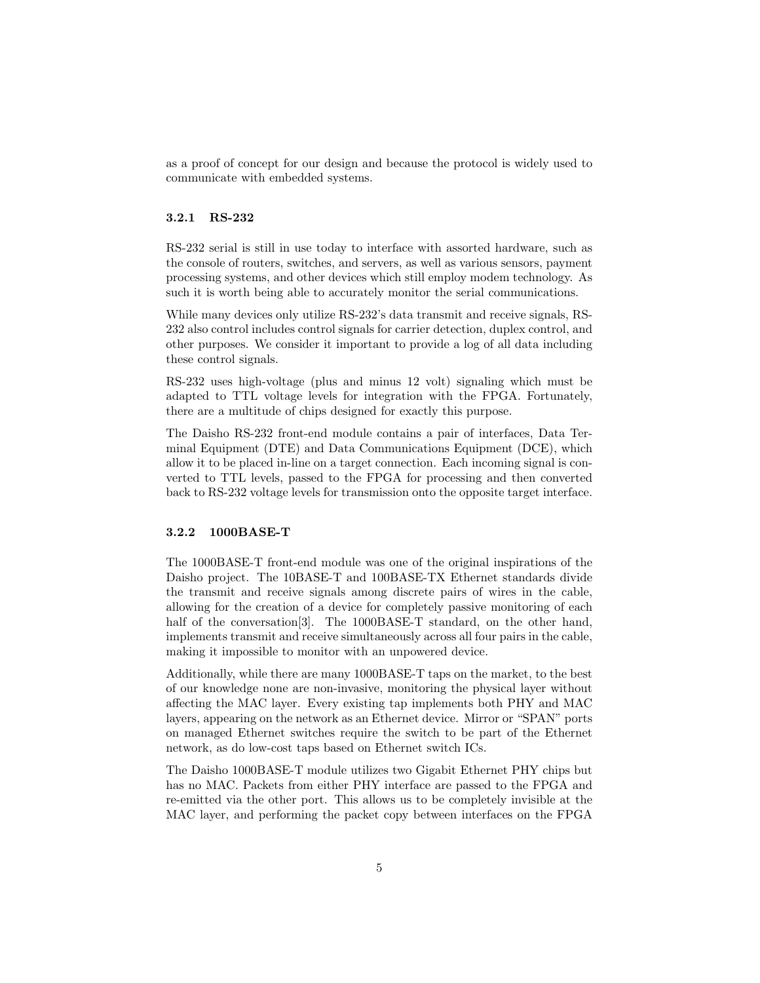as a proof of concept for our design and because the protocol is widely used to communicate with embedded systems.

#### 3.2.1 RS-232

RS-232 serial is still in use today to interface with assorted hardware, such as the console of routers, switches, and servers, as well as various sensors, payment processing systems, and other devices which still employ modem technology. As such it is worth being able to accurately monitor the serial communications.

While many devices only utilize RS-232's data transmit and receive signals, RS-232 also control includes control signals for carrier detection, duplex control, and other purposes. We consider it important to provide a log of all data including these control signals.

RS-232 uses high-voltage (plus and minus 12 volt) signaling which must be adapted to TTL voltage levels for integration with the FPGA. Fortunately, there are a multitude of chips designed for exactly this purpose.

The Daisho RS-232 front-end module contains a pair of interfaces, Data Terminal Equipment (DTE) and Data Communications Equipment (DCE), which allow it to be placed in-line on a target connection. Each incoming signal is converted to TTL levels, passed to the FPGA for processing and then converted back to RS-232 voltage levels for transmission onto the opposite target interface.

### 3.2.2 1000BASE-T

The 1000BASE-T front-end module was one of the original inspirations of the Daisho project. The 10BASE-T and 100BASE-TX Ethernet standards divide the transmit and receive signals among discrete pairs of wires in the cable, allowing for the creation of a device for completely passive monitoring of each half of the conversation<sup>[3]</sup>. The 1000BASE-T standard, on the other hand, implements transmit and receive simultaneously across all four pairs in the cable, making it impossible to monitor with an unpowered device.

Additionally, while there are many 1000BASE-T taps on the market, to the best of our knowledge none are non-invasive, monitoring the physical layer without affecting the MAC layer. Every existing tap implements both PHY and MAC layers, appearing on the network as an Ethernet device. Mirror or "SPAN" ports on managed Ethernet switches require the switch to be part of the Ethernet network, as do low-cost taps based on Ethernet switch ICs.

The Daisho 1000BASE-T module utilizes two Gigabit Ethernet PHY chips but has no MAC. Packets from either PHY interface are passed to the FPGA and re-emitted via the other port. This allows us to be completely invisible at the MAC layer, and performing the packet copy between interfaces on the FPGA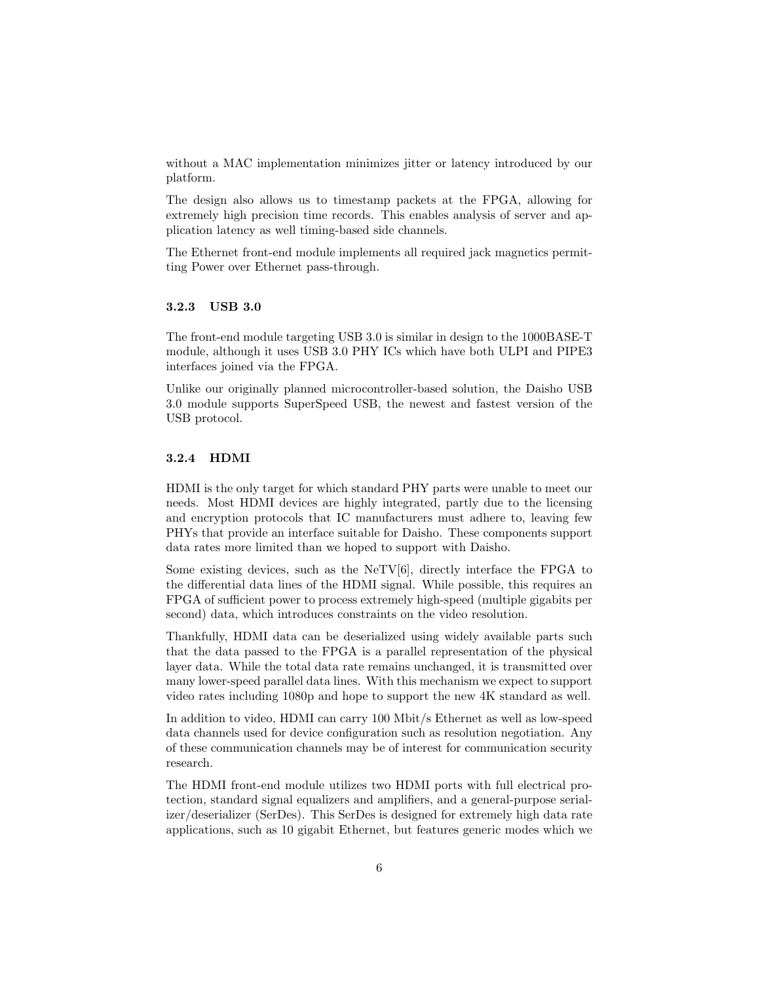without a MAC implementation minimizes jitter or latency introduced by our platform.

The design also allows us to timestamp packets at the FPGA, allowing for extremely high precision time records. This enables analysis of server and application latency as well timing-based side channels.

The Ethernet front-end module implements all required jack magnetics permitting Power over Ethernet pass-through.

### 3.2.3 USB 3.0

The front-end module targeting USB 3.0 is similar in design to the 1000BASE-T module, although it uses USB 3.0 PHY ICs which have both ULPI and PIPE3 interfaces joined via the FPGA.

Unlike our originally planned microcontroller-based solution, the Daisho USB 3.0 module supports SuperSpeed USB, the newest and fastest version of the USB protocol.

#### 3.2.4 HDMI

HDMI is the only target for which standard PHY parts were unable to meet our needs. Most HDMI devices are highly integrated, partly due to the licensing and encryption protocols that IC manufacturers must adhere to, leaving few PHYs that provide an interface suitable for Daisho. These components support data rates more limited than we hoped to support with Daisho.

Some existing devices, such as the  $N_f$ [6], directly interface the FPGA to the differential data lines of the HDMI signal. While possible, this requires an FPGA of sufficient power to process extremely high-speed (multiple gigabits per second) data, which introduces constraints on the video resolution.

Thankfully, HDMI data can be deserialized using widely available parts such that the data passed to the FPGA is a parallel representation of the physical layer data. While the total data rate remains unchanged, it is transmitted over many lower-speed parallel data lines. With this mechanism we expect to support video rates including 1080p and hope to support the new 4K standard as well.

In addition to video, HDMI can carry 100 Mbit/s Ethernet as well as low-speed data channels used for device configuration such as resolution negotiation. Any of these communication channels may be of interest for communication security research.

The HDMI front-end module utilizes two HDMI ports with full electrical protection, standard signal equalizers and amplifiers, and a general-purpose serializer/deserializer (SerDes). This SerDes is designed for extremely high data rate applications, such as 10 gigabit Ethernet, but features generic modes which we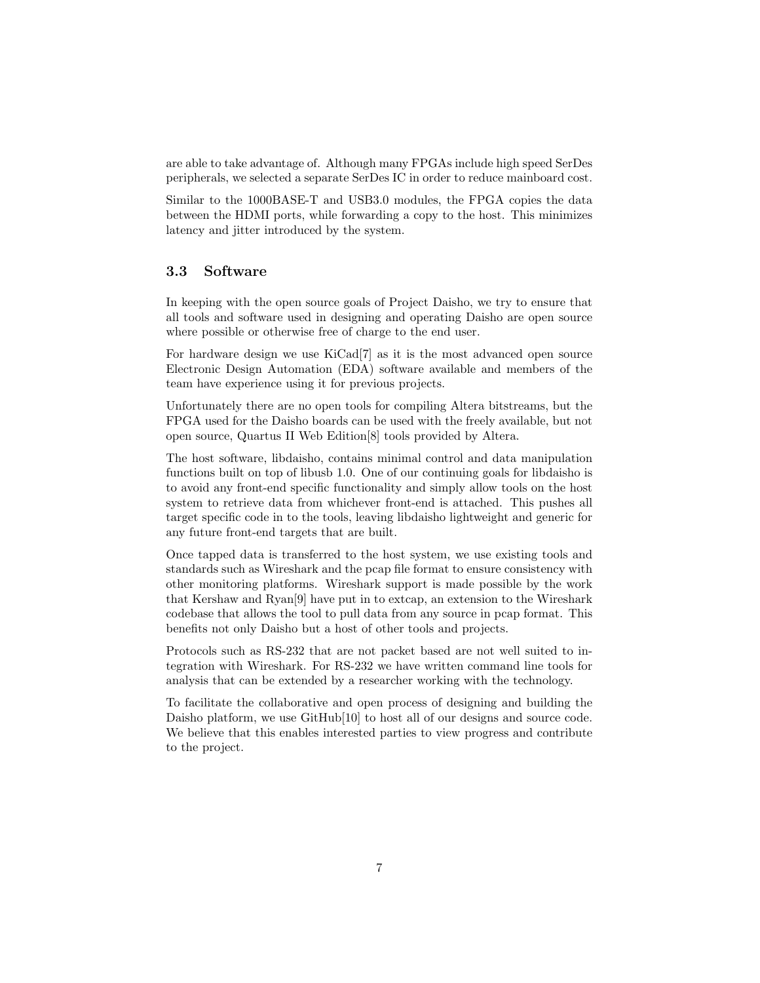are able to take advantage of. Although many FPGAs include high speed SerDes peripherals, we selected a separate SerDes IC in order to reduce mainboard cost.

Similar to the 1000BASE-T and USB3.0 modules, the FPGA copies the data between the HDMI ports, while forwarding a copy to the host. This minimizes latency and jitter introduced by the system.

### 3.3 Software

In keeping with the open source goals of Project Daisho, we try to ensure that all tools and software used in designing and operating Daisho are open source where possible or otherwise free of charge to the end user.

For hardware design we use KiCad[7] as it is the most advanced open source Electronic Design Automation (EDA) software available and members of the team have experience using it for previous projects.

Unfortunately there are no open tools for compiling Altera bitstreams, but the FPGA used for the Daisho boards can be used with the freely available, but not open source, Quartus II Web Edition[8] tools provided by Altera.

The host software, libdaisho, contains minimal control and data manipulation functions built on top of libusb 1.0. One of our continuing goals for libdaisho is to avoid any front-end specific functionality and simply allow tools on the host system to retrieve data from whichever front-end is attached. This pushes all target specific code in to the tools, leaving libdaisho lightweight and generic for any future front-end targets that are built.

Once tapped data is transferred to the host system, we use existing tools and standards such as Wireshark and the pcap file format to ensure consistency with other monitoring platforms. Wireshark support is made possible by the work that Kershaw and Ryan[9] have put in to extcap, an extension to the Wireshark codebase that allows the tool to pull data from any source in pcap format. This benefits not only Daisho but a host of other tools and projects.

Protocols such as RS-232 that are not packet based are not well suited to integration with Wireshark. For RS-232 we have written command line tools for analysis that can be extended by a researcher working with the technology.

To facilitate the collaborative and open process of designing and building the Daisho platform, we use GitHub[10] to host all of our designs and source code. We believe that this enables interested parties to view progress and contribute to the project.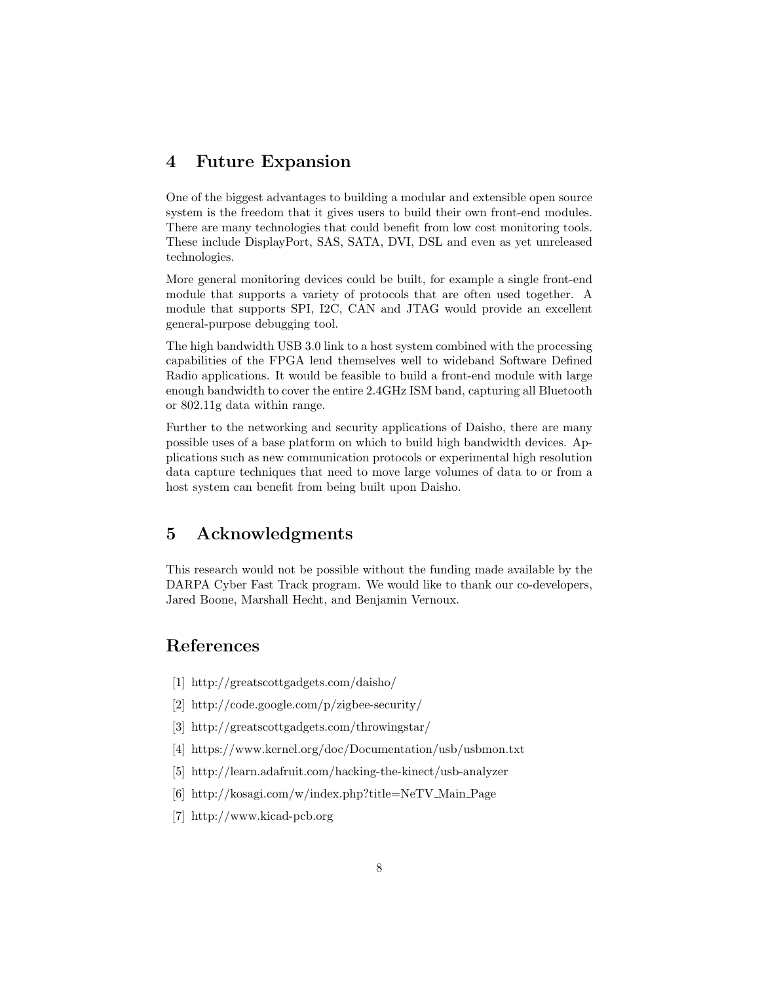# 4 Future Expansion

One of the biggest advantages to building a modular and extensible open source system is the freedom that it gives users to build their own front-end modules. There are many technologies that could benefit from low cost monitoring tools. These include DisplayPort, SAS, SATA, DVI, DSL and even as yet unreleased technologies.

More general monitoring devices could be built, for example a single front-end module that supports a variety of protocols that are often used together. A module that supports SPI, I2C, CAN and JTAG would provide an excellent general-purpose debugging tool.

The high bandwidth USB 3.0 link to a host system combined with the processing capabilities of the FPGA lend themselves well to wideband Software Defined Radio applications. It would be feasible to build a front-end module with large enough bandwidth to cover the entire 2.4GHz ISM band, capturing all Bluetooth or 802.11g data within range.

Further to the networking and security applications of Daisho, there are many possible uses of a base platform on which to build high bandwidth devices. Applications such as new communication protocols or experimental high resolution data capture techniques that need to move large volumes of data to or from a host system can benefit from being built upon Daisho.

# 5 Acknowledgments

This research would not be possible without the funding made available by the DARPA Cyber Fast Track program. We would like to thank our co-developers, Jared Boone, Marshall Hecht, and Benjamin Vernoux.

# References

- [1] http://greatscottgadgets.com/daisho/
- [2] http://code.google.com/p/zigbee-security/
- [3] http://greatscottgadgets.com/throwingstar/
- [4] https://www.kernel.org/doc/Documentation/usb/usbmon.txt
- [5] http://learn.adafruit.com/hacking-the-kinect/usb-analyzer
- [6] http://kosagi.com/w/index.php?title=NeTV Main Page
- [7] http://www.kicad-pcb.org